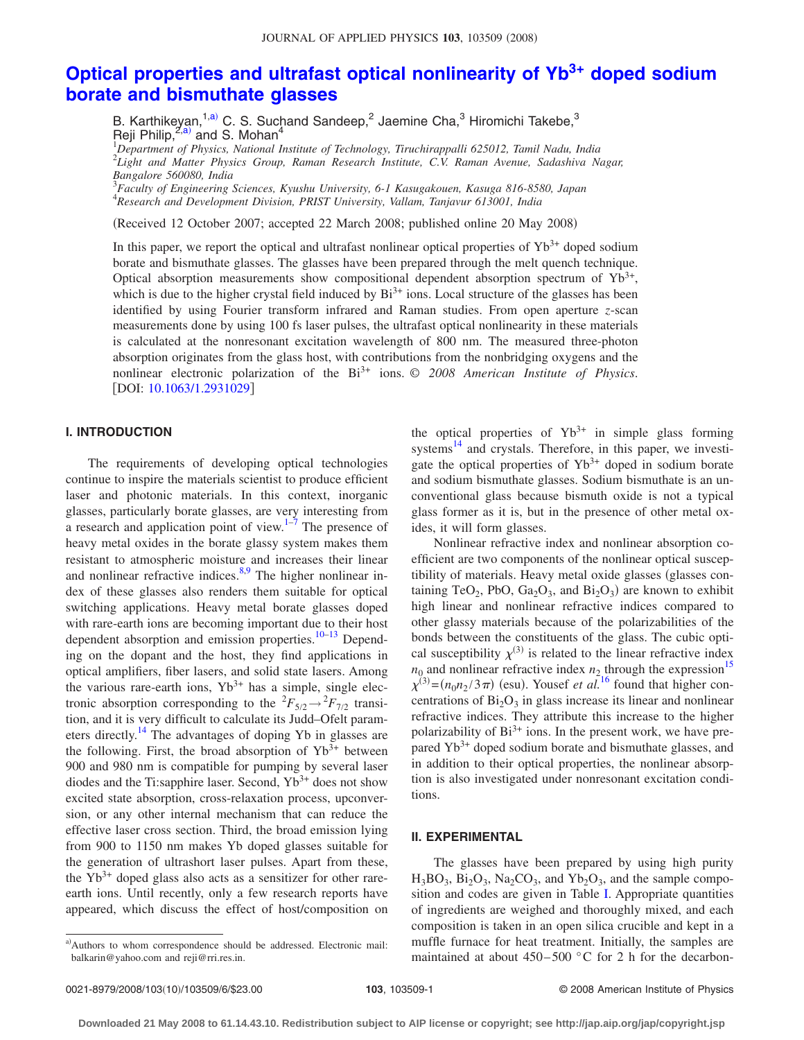# **[Optical properties and ultrafast optical nonlinearity of Yb](http://dx.doi.org/10.1063/1.2931029)3+ doped sodium [borate and bismuthate glasses](http://dx.doi.org/10.1063/1.2931029)**

B. Karthikeyan,<sup>1[,a](#page-0-0))</sup> C. S. Suchand Sandeep,<sup>2</sup> Jaemine Cha,<sup>3</sup> Hiromichi Takebe,<sup>3</sup> Reji Philip, $^{2,a)}$  $^{2,a)}$  $^{2,a)}$  and S. Mohan<sup>4</sup> 1 *Department of Physics, National Institute of Technology, Tiruchirappalli 625012, Tamil Nadu, India*

2 *Light and Matter Physics Group, Raman Research Institute, C.V. Raman Avenue, Sadashiva Nagar, Bangalore 560080, India*

3 *Faculty of Engineering Sciences, Kyushu University, 6-1 Kasugakouen, Kasuga 816-8580, Japan* 4 *Research and Development Division, PRIST University, Vallam, Tanjavur 613001, India*

(Received 12 October 2007; accepted 22 March 2008; published online 20 May 2008)

In this paper, we report the optical and ultrafast nonlinear optical properties of  $Yb<sup>3+</sup>$  doped sodium borate and bismuthate glasses. The glasses have been prepared through the melt quench technique. Optical absorption measurements show compositional dependent absorption spectrum of  $Yb^{3+}$ , which is due to the higher crystal field induced by  $Bi^{3+}$  ions. Local structure of the glasses has been identified by using Fourier transform infrared and Raman studies. From open aperture *z*-scan measurements done by using 100 fs laser pulses, the ultrafast optical nonlinearity in these materials is calculated at the nonresonant excitation wavelength of 800 nm. The measured three-photon absorption originates from the glass host, with contributions from the nonbridging oxygens and the nonlinear electronic polarization of the Bi<sup>3+</sup> ions. © 2008 American Institute of Physics. [DOI: [10.1063/1.2931029](http://dx.doi.org/10.1063/1.2931029)]

# **I. INTRODUCTION**

The requirements of developing optical technologies continue to inspire the materials scientist to produce efficient laser and photonic materials. In this context, inorganic glasses, particularly borate glasses, are very interesting from a research and application point of view. $1^{-7}$  The presence of heavy metal oxides in the borate glassy system makes them resistant to atmospheric moisture and increases their linear and nonlinear refractive indices. $8,9$  $8,9$  The higher nonlinear index of these glasses also renders them suitable for optical switching applications. Heavy metal borate glasses doped with rare-earth ions are becoming important due to their host dependent absorption and emission properties.<sup>10–[13](#page-5-5)</sup> Depending on the dopant and the host, they find applications in optical amplifiers, fiber lasers, and solid state lasers. Among the various rare-earth ions,  $Yb^{3+}$  has a simple, single electronic absorption corresponding to the  ${}^{2}F_{5/2} \rightarrow {}^{2}F_{7/2}$  transition, and it is very difficult to calculate its Judd–Ofelt parameters directly.<sup>14</sup> The advantages of doping Yb in glasses are the following. First, the broad absorption of  $Yb^{3+}$  between 900 and 980 nm is compatible for pumping by several laser diodes and the Ti:sapphire laser. Second,  $Yb^{3+}$  does not show excited state absorption, cross-relaxation process, upconversion, or any other internal mechanism that can reduce the effective laser cross section. Third, the broad emission lying from 900 to 1150 nm makes Yb doped glasses suitable for the generation of ultrashort laser pulses. Apart from these, the  $Yb^{3+}$  doped glass also acts as a sensitizer for other rareearth ions. Until recently, only a few research reports have appeared, which discuss the effect of host/composition on

<span id="page-0-0"></span>a)Authors to whom correspondence should be addressed. Electronic mail: balkarin@yahoo.com and reji@rri.res.in.

the optical properties of  $Yb^{3+}$  in simple glass forming systems $^{14}$  and crystals. Therefore, in this paper, we investigate the optical properties of  $Yb^{3+}$  doped in sodium borate and sodium bismuthate glasses. Sodium bismuthate is an unconventional glass because bismuth oxide is not a typical glass former as it is, but in the presence of other metal oxides, it will form glasses.

Nonlinear refractive index and nonlinear absorption coefficient are two components of the nonlinear optical susceptibility of materials. Heavy metal oxide glasses (glasses containing  $TeO_2$ , PbO,  $Ga_2O_3$ , and  $Bi_2O_3$ ) are known to exhibit high linear and nonlinear refractive indices compared to other glassy materials because of the polarizabilities of the bonds between the constituents of the glass. The cubic optical susceptibility  $\chi^{(3)}$  is related to the linear refractive index  $n_0$  and nonlinear refractive index  $n_2$  through the expression<sup>15</sup>  $\chi^{(3)} = (n_0 n_2 / 3 \pi)$  (esu). Yousef *et al.*<sup>[16](#page-5-8)</sup> found that higher concentrations of  $Bi<sub>2</sub>O<sub>3</sub>$  in glass increase its linear and nonlinear refractive indices. They attribute this increase to the higher polarizability of  $Bi^{3+}$  ions. In the present work, we have prepared Yb<sup>3+</sup> doped sodium borate and bismuthate glasses, and in addition to their optical properties, the nonlinear absorption is also investigated under nonresonant excitation conditions.

## **II. EXPERIMENTAL**

The glasses have been prepared by using high purity  $H_3BO_3$ ,  $Bi_2O_3$ ,  $Na_2CO_3$ , and  $Yb_2O_3$ , and the sample composition and codes are given in Table [I.](#page-1-0) Appropriate quantities of ingredients are weighed and thoroughly mixed, and each composition is taken in an open silica crucible and kept in a muffle furnace for heat treatment. Initially, the samples are maintained at about  $450-500$  °C for 2 h for the decarbon-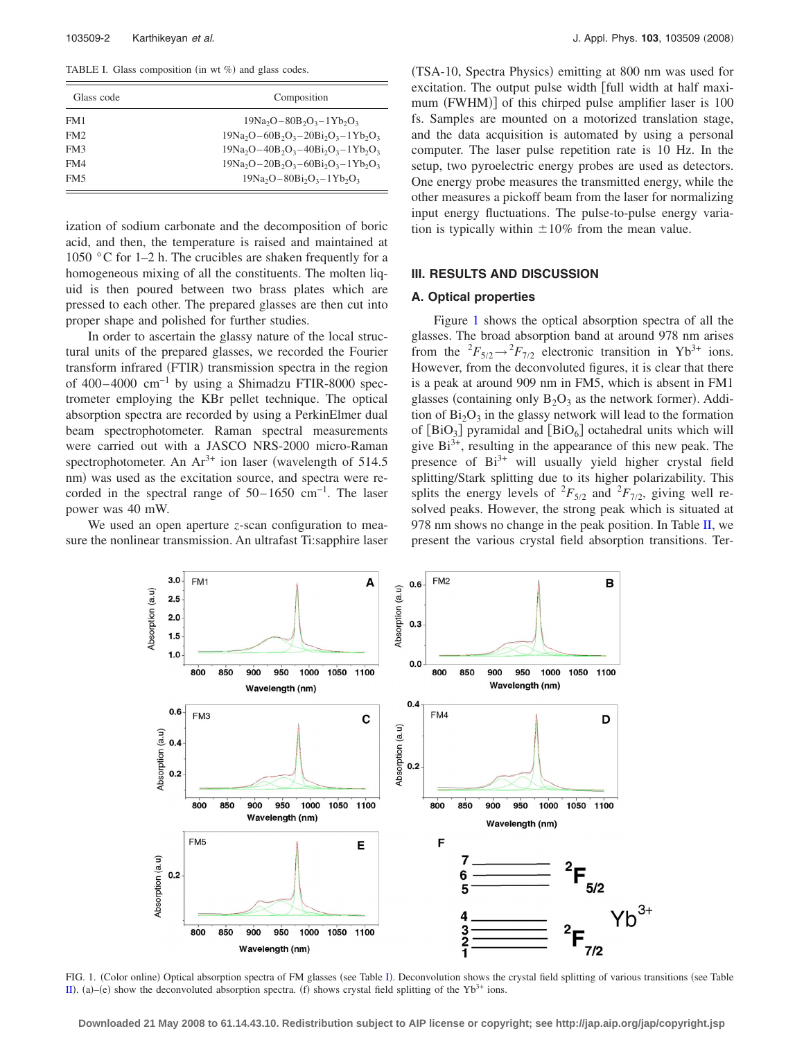<span id="page-1-0"></span>TABLE I. Glass composition (in wt %) and glass codes.

| Glass code      | Composition                           |  |  |
|-----------------|---------------------------------------|--|--|
| FM1             | $19Na_2O-80B_2O_3-1Yb_2O_3$           |  |  |
| FM <sub>2</sub> | $19Na_2O-60B_2O_3-20Bi_2O_3-1Yb_2O_3$ |  |  |
| FM3             | $19Na_2O-40B_2O_3-40Bi_2O_3-1Yb_2O_3$ |  |  |
| FM4             | $19Na_2O-20B_2O_3-60Bi_2O_3-1Yb_2O_3$ |  |  |
| FM5             | $19Na_2O-80Bi_2O_3-1Yb_2O_3$          |  |  |

ization of sodium carbonate and the decomposition of boric acid, and then, the temperature is raised and maintained at 1050 °C for 1–2 h. The crucibles are shaken frequently for a homogeneous mixing of all the constituents. The molten liquid is then poured between two brass plates which are pressed to each other. The prepared glasses are then cut into proper shape and polished for further studies.

In order to ascertain the glassy nature of the local structural units of the prepared glasses, we recorded the Fourier transform infrared (FTIR) transmission spectra in the region of 400– 4000 cm−1 by using a Shimadzu FTIR-8000 spectrometer employing the KBr pellet technique. The optical absorption spectra are recorded by using a PerkinElmer dual beam spectrophotometer. Raman spectral measurements were carried out with a JASCO NRS-2000 micro-Raman spectrophotometer. An  $Ar^{3+}$  ion laser (wavelength of 514.5) nm) was used as the excitation source, and spectra were recorded in the spectral range of  $50-1650$  cm<sup>-1</sup>. The laser power was 40 mW.

<span id="page-1-1"></span>We used an open aperture *z*-scan configuration to measure the nonlinear transmission. An ultrafast Ti:sapphire laser

(TSA-10, Spectra Physics) emitting at 800 nm was used for excitation. The output pulse width [full width at half maximum (FWHM)] of this chirped pulse amplifier laser is 100 fs. Samples are mounted on a motorized translation stage, and the data acquisition is automated by using a personal computer. The laser pulse repetition rate is 10 Hz. In the setup, two pyroelectric energy probes are used as detectors. One energy probe measures the transmitted energy, while the other measures a pickoff beam from the laser for normalizing input energy fluctuations. The pulse-to-pulse energy variation is typically within  $\pm 10\%$  from the mean value.

# **III. RESULTS AND DISCUSSION**

#### **A. Optical properties**

Figure [1](#page-1-1) shows the optical absorption spectra of all the glasses. The broad absorption band at around 978 nm arises from the  ${}^{2}F_{5/2} \rightarrow {}^{2}F_{7/2}$  electronic transition in Yb<sup>3+</sup> ions. However, from the deconvoluted figures, it is clear that there is a peak at around 909 nm in FM5, which is absent in FM1 glasses (containing only  $B_2O_3$  as the network former). Addition of  $Bi<sub>2</sub>O<sub>3</sub>$  in the glassy network will lead to the formation of  $[BiO_3]$  pyramidal and  $[BiO_6]$  octahedral units which will give  $Bi^{3+}$ , resulting in the appearance of this new peak. The presence of Bi<sup>3+</sup> will usually yield higher crystal field splitting/Stark splitting due to its higher polarizability. This splits the energy levels of  ${}^{2}F_{5/2}$  and  ${}^{2}F_{7/2}$ , giving well resolved peaks. However, the strong peak which is situated at 978 nm shows no change in the peak position. In Table [II,](#page-2-0) we present the various crystal field absorption transitions. Ter-



F[I](#page-1-0)G. 1. (Color online) Optical absorption spectra of FM glasses (see Table I). Deconvolution shows the crystal field splitting of various transitions (see Table [II](#page-2-0)). (a)–(e) show the deconvoluted absorption spectra. (f) shows crystal field splitting of the Yb<sup>3+</sup> ions.

**Downloaded 21 May 2008 to 61.14.43.10. Redistribution subject to AIP license or copyright; see http://jap.aip.org/jap/copyright.jsp**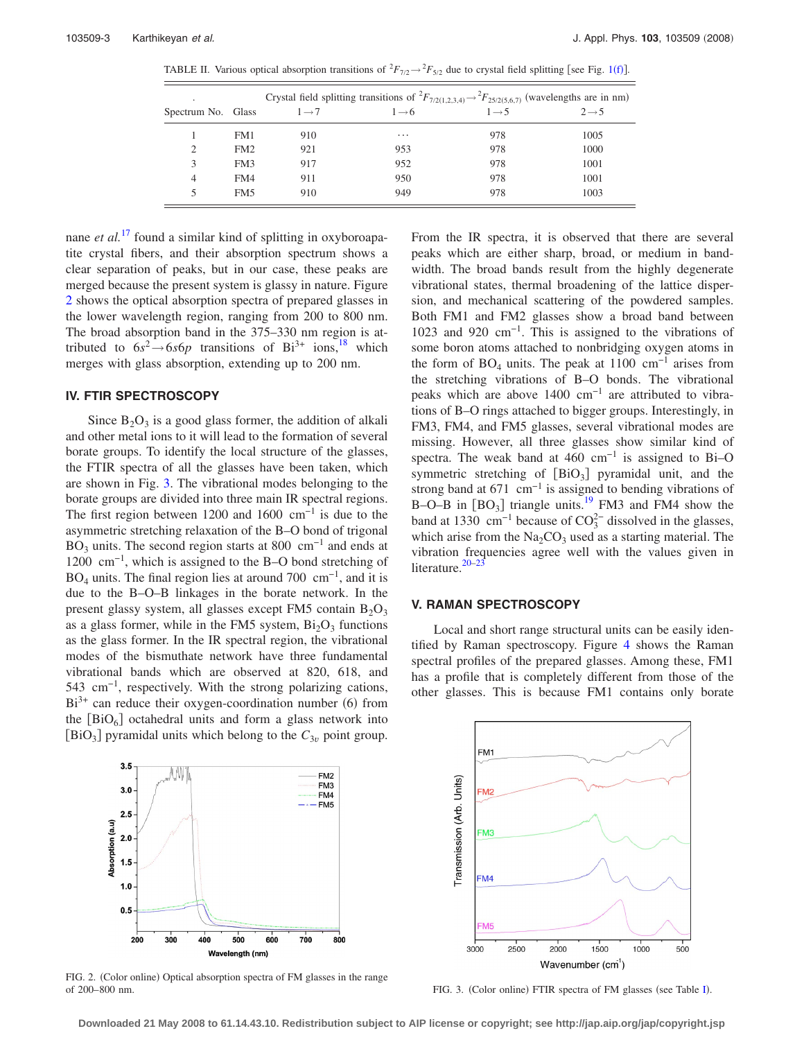<span id="page-2-0"></span>TABLE II. Various optical absorption transitions of  ${}^2F_{7/2} \rightarrow {}^2F_{5/2}$  due to crystal field splitting [see Fig. [1](#page-1-1)(f)].

|                    |                 | Crystal field splitting transitions of ${}^2F_{7/2(1,2,3,4)} \rightarrow {}^2F_{25/2(5,6,7)}$ (wavelengths are in nm) |                   |                   |                   |  |
|--------------------|-----------------|-----------------------------------------------------------------------------------------------------------------------|-------------------|-------------------|-------------------|--|
| Spectrum No. Glass |                 | $1 \rightarrow 7$                                                                                                     | $1 \rightarrow 6$ | $1 \rightarrow 5$ | $2 \rightarrow 5$ |  |
|                    | FM1             | 910                                                                                                                   | $\cdots$          | 978               | 1005              |  |
| 2                  | FM2             | 921                                                                                                                   | 953               | 978               | 1000              |  |
| 3                  | FM3             | 917                                                                                                                   | 952               | 978               | 1001              |  |
| 4                  | FM4             | 911                                                                                                                   | 950               | 978               | 1001              |  |
|                    | FM <sub>5</sub> | 910                                                                                                                   | 949               | 978               | 1003              |  |

nane *et al.*<sup>[17](#page-5-9)</sup> found a similar kind of splitting in oxyboroapatite crystal fibers, and their absorption spectrum shows a clear separation of peaks, but in our case, these peaks are merged because the present system is glassy in nature. Figure [2](#page-2-1) shows the optical absorption spectra of prepared glasses in the lower wavelength region, ranging from 200 to 800 nm. The broad absorption band in the 375–330 nm region is attributed to  $6s^2 \rightarrow 6s6p$  transitions of Bi<sup>3+</sup> ions,<sup>18</sup> which merges with glass absorption, extending up to 200 nm.

# **IV. FTIR SPECTROSCOPY**

Since  $B_2O_3$  is a good glass former, the addition of alkali and other metal ions to it will lead to the formation of several borate groups. To identify the local structure of the glasses, the FTIR spectra of all the glasses have been taken, which are shown in Fig. [3.](#page-2-2) The vibrational modes belonging to the borate groups are divided into three main IR spectral regions. The first region between 1200 and 1600  $cm^{-1}$  is due to the asymmetric stretching relaxation of the B–O bond of trigonal BO<sub>3</sub> units. The second region starts at 800 cm<sup>-1</sup> and ends at 1200 cm−1, which is assigned to the B–O bond stretching of  $BO<sub>4</sub>$  units. The final region lies at around 700 cm<sup>-1</sup>, and it is due to the B–O–B linkages in the borate network. In the present glassy system, all glasses except FM5 contain  $B_2O_3$ as a glass former, while in the FM5 system,  $Bi<sub>2</sub>O<sub>3</sub>$  functions as the glass former. In the IR spectral region, the vibrational modes of the bismuthate network have three fundamental vibrational bands which are observed at 820, 618, and 543 cm−1, respectively. With the strong polarizing cations,  $Bi^{3+}$  can reduce their oxygen-coordination number (6) from the  $[BiO_6]$  octahedral units and form a glass network into  $[BIO<sub>3</sub>]$  pyramidal units which belong to the  $C<sub>3*v*</sub>$  point group.

<span id="page-2-1"></span>

FIG. 2. (Color online) Optical absorption spectra of FM glasses in the range of 200–800 nm. THE Spectra of FM glasses (see Table [I](#page-1-0)). FIG. 3. (Color online) FTIR spectra of FM glasses (see Table I).

From the IR spectra, it is observed that there are several peaks which are either sharp, broad, or medium in bandwidth. The broad bands result from the highly degenerate vibrational states, thermal broadening of the lattice dispersion, and mechanical scattering of the powdered samples. Both FM1 and FM2 glasses show a broad band between 1023 and 920 cm−1. This is assigned to the vibrations of some boron atoms attached to nonbridging oxygen atoms in the form of  $BO_4$  units. The peak at 1100 cm<sup>-1</sup> arises from the stretching vibrations of B–O bonds. The vibrational peaks which are above 1400 cm<sup>-1</sup> are attributed to vibrations of B–O rings attached to bigger groups. Interestingly, in FM3, FM4, and FM5 glasses, several vibrational modes are missing. However, all three glasses show similar kind of spectra. The weak band at 460 cm<sup>-1</sup> is assigned to Bi–O symmetric stretching of  $[BiO_3]$  pyramidal unit, and the strong band at  $671 \text{ cm}^{-1}$  is assigned to bending vibrations of B–O–B in  $[BO_3]$  triangle units.<sup>19</sup> FM3 and FM4 show the band at 1330  $\text{cm}^{-1}$  because of  $\text{CO}_3^{2-}$  dissolved in the glasses, which arise from the  $Na<sub>2</sub>CO<sub>3</sub>$  used as a starting material. The vibration frequencies agree well with the values given in literature.<sup>20[–23](#page-5-13)</sup>

## **V. RAMAN SPECTROSCOPY**

Local and short range structural units can be easily identified by Raman spectroscopy. Figure [4](#page-3-0) shows the Raman spectral profiles of the prepared glasses. Among these, FM1 has a profile that is completely different from those of the other glasses. This is because FM1 contains only borate

<span id="page-2-2"></span>

**Downloaded 21 May 2008 to 61.14.43.10. Redistribution subject to AIP license or copyright; see http://jap.aip.org/jap/copyright.jsp**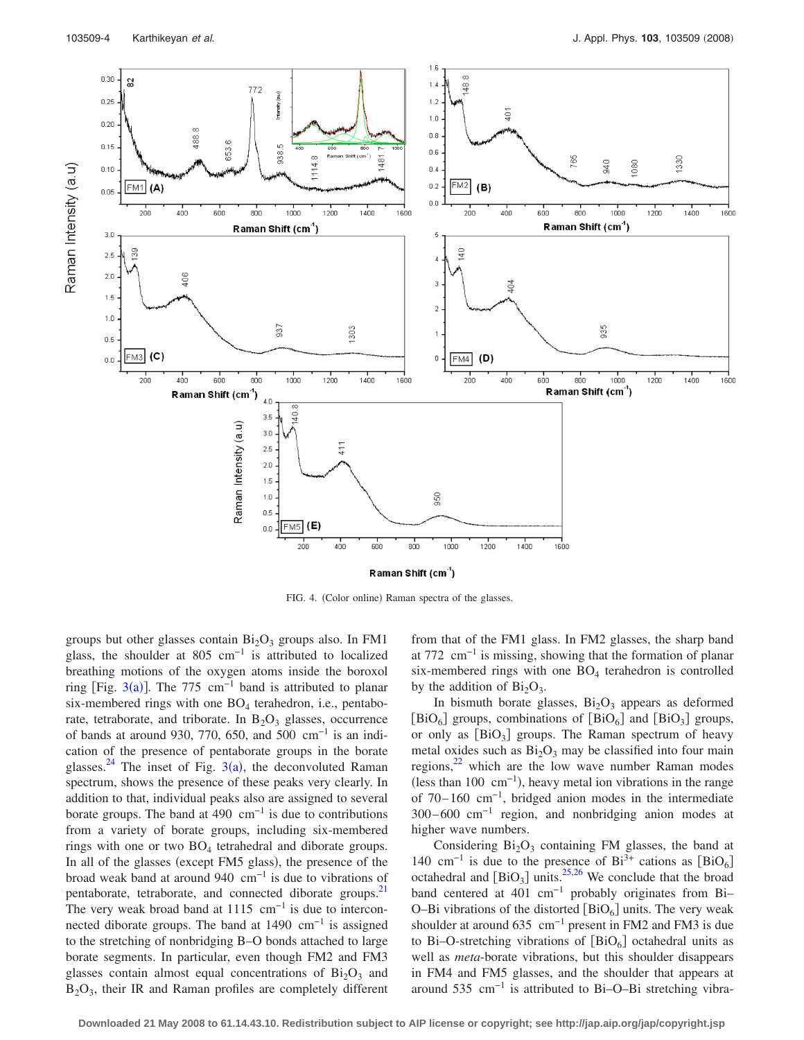<span id="page-3-0"></span>

FIG. 4. (Color online) Raman spectra of the glasses.

groups but other glasses contain  $Bi<sub>2</sub>O<sub>3</sub>$  groups also. In FM1 glass, the shoulder at 805 cm<sup>-1</sup> is attributed to localized breathing motions of the oxygen atoms inside the boroxol ring [Fig. [3](#page-2-2)(a)]. The 775 cm<sup>-1</sup> band is attributed to planar six-membered rings with one  $BO<sub>4</sub>$  terahedron, i.e., pentaborate, tetraborate, and triborate. In  $B_2O_3$  glasses, occurrence of bands at around 930, 770, 650, and 500 cm−1 is an indication of the presence of pentaborate groups in the borate glasses.<sup>24</sup> The inset of Fig. [3](#page-2-2)(a), the deconvoluted Raman spectrum, shows the presence of these peaks very clearly. In addition to that, individual peaks also are assigned to several borate groups. The band at 490  $cm^{-1}$  is due to contributions from a variety of borate groups, including six-membered rings with one or two  $BO<sub>4</sub>$  tetrahedral and diborate groups. In all of the glasses (except FM5 glass), the presence of the broad weak band at around 940  $cm^{-1}$  is due to vibrations of pentaborate, tetraborate, and connected diborate groups.<sup>21</sup> The very weak broad band at  $1115 \text{ cm}^{-1}$  is due to interconnected diborate groups. The band at  $1490 \text{ cm}^{-1}$  is assigned to the stretching of nonbridging B–O bonds attached to large borate segments. In particular, even though FM2 and FM3 glasses contain almost equal concentrations of  $Bi<sub>2</sub>O<sub>3</sub>$  and B2O3, their IR and Raman profiles are completely different from that of the FM1 glass. In FM2 glasses, the sharp band at 772 cm−1 is missing, showing that the formation of planar six-membered rings with one  $BO<sub>4</sub>$  terahedron is controlled by the addition of  $Bi<sub>2</sub>O<sub>3</sub>$ .

In bismuth borate glasses,  $Bi<sub>2</sub>O<sub>3</sub>$  appears as deformed [BiO<sub>6</sub>] groups, combinations of [BiO<sub>6</sub>] and [BiO<sub>3</sub>] groups, or only as  $[BiO_3]$  groups. The Raman spectrum of heavy metal oxides such as  $Bi<sub>2</sub>O<sub>3</sub>$  may be classified into four main regions, $^{22}$  which are the low wave number Raman modes (less than 100 cm<sup>-1</sup>), heavy metal ion vibrations in the range of 70– 160 cm−1, bridged anion modes in the intermediate 300– 600 cm−1 region, and nonbridging anion modes at higher wave numbers.

Considering  $Bi<sub>2</sub>O<sub>3</sub>$  containing FM glasses, the band at 140 cm<sup>-1</sup> is due to the presence of Bi<sup>3+</sup> cations as  $[BiO<sub>6</sub>]$ octahedral and  $[BiO_3]$  units.<sup>25[,26](#page-5-18)</sup> We conclude that the broad band centered at 401 cm−1 probably originates from Bi– O–Bi vibrations of the distorted  $[BIO_6]$  units. The very weak shoulder at around 635 cm−1 present in FM2 and FM3 is due to Bi–O-stretching vibrations of  $[BiO_6]$  octahedral units as well as *meta*-borate vibrations, but this shoulder disappears in FM4 and FM5 glasses, and the shoulder that appears at around 535 cm−1 is attributed to Bi–O–Bi stretching vibra-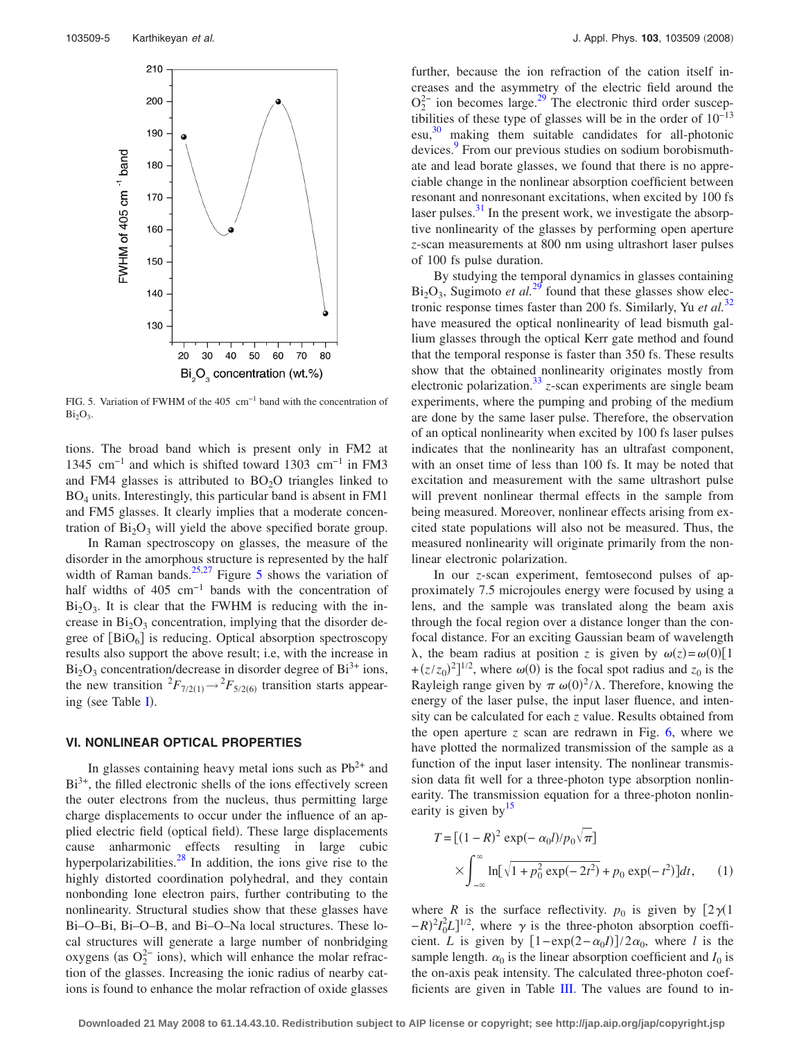<span id="page-4-0"></span>

FIG. 5. Variation of FWHM of the 405 cm−1 band with the concentration of  $Bi<sub>2</sub>O<sub>3</sub>$ .

tions. The broad band which is present only in FM2 at 1345 cm−1 and which is shifted toward 1303 cm−1 in FM3 and FM4 glasses is attributed to  $BO<sub>2</sub>O$  triangles linked to BO4 units. Interestingly, this particular band is absent in FM1 and FM5 glasses. It clearly implies that a moderate concentration of  $Bi<sub>2</sub>O<sub>3</sub>$  will yield the above specified borate group.

In Raman spectroscopy on glasses, the measure of the disorder in the amorphous structure is represented by the half width of Raman bands.<sup>25,[27](#page-5-19)</sup> Figure [5](#page-4-0) shows the variation of half widths of 405 cm<sup>-1</sup> bands with the concentration of  $Bi<sub>2</sub>O<sub>3</sub>$ . It is clear that the FWHM is reducing with the increase in  $Bi<sub>2</sub>O<sub>3</sub>$  concentration, implying that the disorder degree of  $[BiO_6]$  is reducing. Optical absorption spectroscopy results also support the above result; i.e, with the increase in  $Bi<sub>2</sub>O<sub>3</sub>$  concentration/decrease in disorder degree of  $Bi<sup>3+</sup>$  ions, the new transition  ${}^2F_{7/2(1)} \rightarrow {}^2F_{5/2(6)}$  transition starts appear-ing (see Table [I](#page-1-0)).

## **VI. NONLINEAR OPTICAL PROPERTIES**

In glasses containing heavy metal ions such as  $Pb^{2+}$  and  $Bi<sup>3+</sup>$ , the filled electronic shells of the ions effectively screen the outer electrons from the nucleus, thus permitting large charge displacements to occur under the influence of an applied electric field (optical field). These large displacements cause anharmonic effects resulting in large cubic hyperpolarizabilities. $\frac{28}{3}$  In addition, the ions give rise to the highly distorted coordination polyhedral, and they contain nonbonding lone electron pairs, further contributing to the nonlinearity. Structural studies show that these glasses have Bi–O–Bi, Bi–O–B, and Bi–O–Na local structures. These local structures will generate a large number of nonbridging oxygens (as  $O_2^{2-}$  ions), which will enhance the molar refraction of the glasses. Increasing the ionic radius of nearby cations is found to enhance the molar refraction of oxide glasses

further, because the ion refraction of the cation itself increases and the asymmetry of the electric field around the  $O_2^{2-}$  ion becomes large.<sup>29</sup> The electronic third order susceptibilities of these type of glasses will be in the order of 10−13 esu, [30](#page-5-22) making them suitable candidates for all-photonic devices.<sup>9</sup> From our previous studies on sodium borobismuthate and lead borate glasses, we found that there is no appreciable change in the nonlinear absorption coefficient between resonant and nonresonant excitations, when excited by 100 fs laser pulses. $31$  In the present work, we investigate the absorptive nonlinearity of the glasses by performing open aperture *z*-scan measurements at 800 nm using ultrashort laser pulses of 100 fs pulse duration.

By studying the temporal dynamics in glasses containing  $Bi<sub>2</sub>O<sub>3</sub>$ , Sugimoto *et al.*<sup>[29](#page-5-21)</sup> found that these glasses show electronic response times faster than 200 fs. Similarly, Yu *et al.*[32](#page-5-24) have measured the optical nonlinearity of lead bismuth gallium glasses through the optical Kerr gate method and found that the temporal response is faster than 350 fs. These results show that the obtained nonlinearity originates mostly from electronic polarization.<sup>33</sup>  $z$ -scan experiments are single beam experiments, where the pumping and probing of the medium are done by the same laser pulse. Therefore, the observation of an optical nonlinearity when excited by 100 fs laser pulses indicates that the nonlinearity has an ultrafast component, with an onset time of less than 100 fs. It may be noted that excitation and measurement with the same ultrashort pulse will prevent nonlinear thermal effects in the sample from being measured. Moreover, nonlinear effects arising from excited state populations will also not be measured. Thus, the measured nonlinearity will originate primarily from the nonlinear electronic polarization.

In our *z*-scan experiment, femtosecond pulses of approximately 7.5 microjoules energy were focused by using a lens, and the sample was translated along the beam axis through the focal region over a distance longer than the confocal distance. For an exciting Gaussian beam of wavelength  $\lambda$ , the beam radius at position *z* is given by  $\omega(z) = \omega(0)[1]$  $+(z/z_0)^2$ <sup>1/2</sup>, where  $\omega(0)$  is the focal spot radius and  $z_0$  is the Rayleigh range given by  $\pi \omega(0)^2/\lambda$ . Therefore, knowing the energy of the laser pulse, the input laser fluence, and intensity can be calculated for each *z* value. Results obtained from the open aperture  $z$  scan are redrawn in Fig.  $6$ , where we have plotted the normalized transmission of the sample as a function of the input laser intensity. The nonlinear transmission data fit well for a three-photon type absorption nonlinearity. The transmission equation for a three-photon nonlinearity is given by  $15$ 

$$
T = [(1 - R)^2 \exp(-\alpha_0 l)/p_0 \sqrt{\pi}]
$$
  
 
$$
\times \int_{-\infty}^{\infty} \ln[\sqrt{1 + p_0^2 \exp(-2t^2)} + p_0 \exp(-t^2)]dt, \qquad (1)
$$

where *R* is the surface reflectivity.  $p_0$  is given by  $[2\gamma(1)]$  $-R$ <sup>2</sup> $I_0^2L$ <sup>1/2</sup>, where  $\gamma$  is the three-photon absorption coefficient. *L* is given by  $[1 - \exp(2 - \alpha_0 I)]/2\alpha_0$ , where *l* is the sample length.  $\alpha_0$  is the linear absorption coefficient and  $I_0$  is the on-axis peak intensity. The calculated three-photon coefficients are given in Table [III.](#page-5-27) The values are found to in-